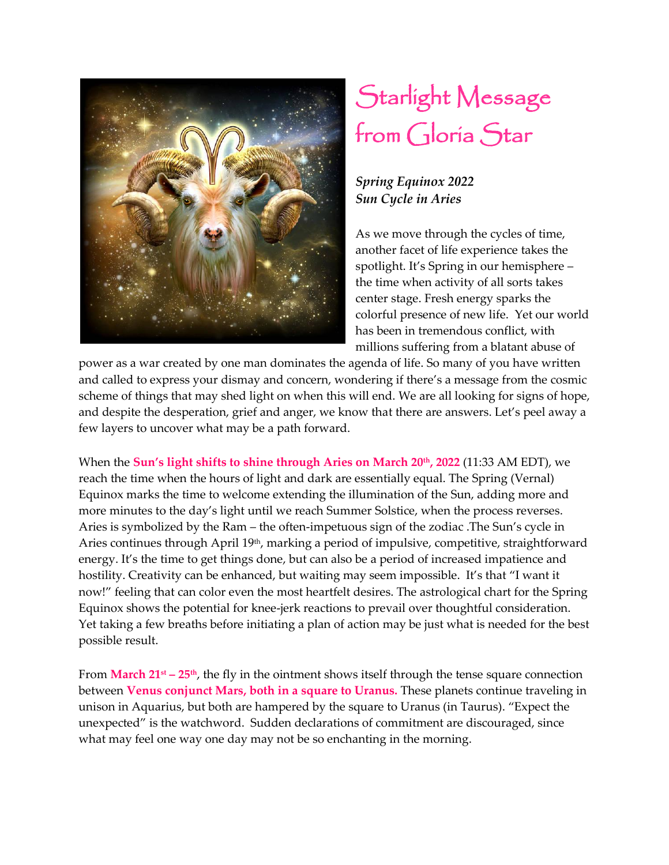

## Starlight Message from Gloria Star

## *Spring Equinox 2022 Sun Cycle in Aries*

As we move through the cycles of time, another facet of life experience takes the spotlight. It's Spring in our hemisphere – the time when activity of all sorts takes center stage. Fresh energy sparks the colorful presence of new life. Yet our world has been in tremendous conflict, with millions suffering from a blatant abuse of

power as a war created by one man dominates the agenda of life. So many of you have written and called to express your dismay and concern, wondering if there's a message from the cosmic scheme of things that may shed light on when this will end. We are all looking for signs of hope, and despite the desperation, grief and anger, we know that there are answers. Let's peel away a few layers to uncover what may be a path forward.

When the **Sun's light shifts to shine through Aries on March 20th, 2022** (11:33 AM EDT), we reach the time when the hours of light and dark are essentially equal. The Spring (Vernal) Equinox marks the time to welcome extending the illumination of the Sun, adding more and more minutes to the day's light until we reach Summer Solstice, when the process reverses. Aries is symbolized by the Ram – the often-impetuous sign of the zodiac .The Sun's cycle in Aries continues through April 19<sup>th</sup>, marking a period of impulsive, competitive, straightforward energy. It's the time to get things done, but can also be a period of increased impatience and hostility. Creativity can be enhanced, but waiting may seem impossible. It's that "I want it now!" feeling that can color even the most heartfelt desires. The astrological chart for the Spring Equinox shows the potential for knee-jerk reactions to prevail over thoughtful consideration. Yet taking a few breaths before initiating a plan of action may be just what is needed for the best possible result.

From **March 21st – 25th**, the fly in the ointment shows itself through the tense square connection between **Venus conjunct Mars, both in a square to Uranus.** These planets continue traveling in unison in Aquarius, but both are hampered by the square to Uranus (in Taurus). "Expect the unexpected" is the watchword. Sudden declarations of commitment are discouraged, since what may feel one way one day may not be so enchanting in the morning.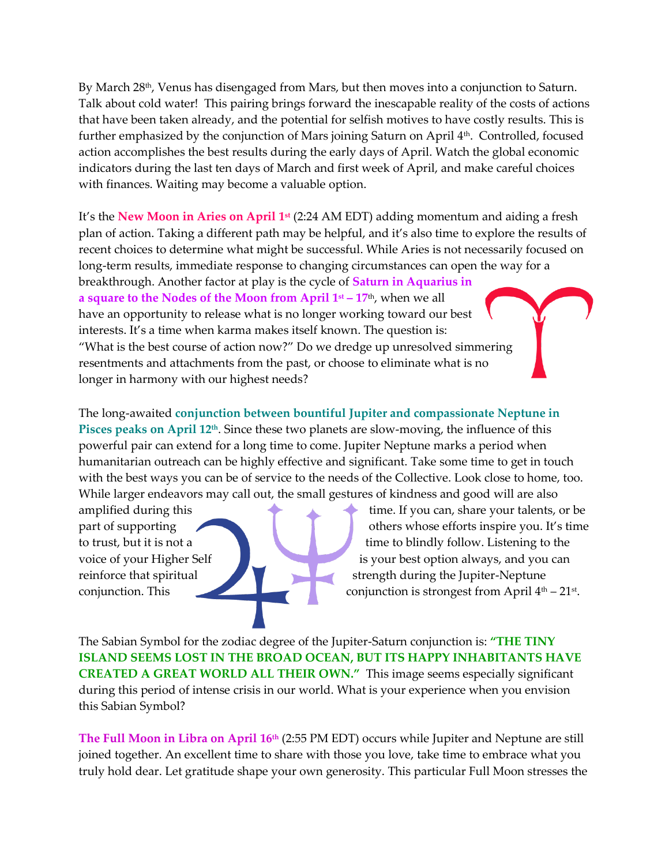By March 28<sup>th</sup>, Venus has disengaged from Mars, but then moves into a conjunction to Saturn. Talk about cold water! This pairing brings forward the inescapable reality of the costs of actions that have been taken already, and the potential for selfish motives to have costly results. This is further emphasized by the conjunction of Mars joining Saturn on April 4th. Controlled, focused l action accomplishes the best results during the early days of April. Watch the global economic indicators during the last ten days of March and first week of April, and make careful choices with finances. Waiting may become a valuable option.

It's the **New Moon in Aries on April 1st** (2:24 AM EDT) adding momentum and aiding a fresh plan of action. Taking a different path may be helpful, and it's also time to explore the results of recent choices to determine what might be successful. While Aries is not necessarily focused on long-term results, immediate response to changing circumstances can open the way for a breakthrough. Another factor at play is the cycle of **Saturn in Aquarius in a square to the Nodes of the Moon from April 1st – 17**th, when we all have an opportunity to release what is no longer working toward our best interests. It's a time when karma makes itself known. The question is: "What is the best course of action now?" Do we dredge up unresolved simmering resentments and attachments from the past, or choose to eliminate what is no longer in harmony with our highest needs?

The long-awaited **conjunction between bountiful Jupiter and compassionate Neptune in Pisces peaks on April 12th** . Since these two planets are slow-moving, the influence of this powerful pair can extend for a long time to come. Jupiter Neptune marks a period when humanitarian outreach can be highly effective and significant. Take some time to get in touch with the best ways you can be of service to the needs of the Collective. Look close to home, too. While larger endeavors may call out, the small gestures of kindness and good will are also

amplified during this time. If you can, share your talents, or be part of supporting **our contract of supporting** others whose efforts inspire you. It's time to trust, but it is not a time to blindly follow. Listening to the voice of your Higher Self is your best option always, and you can reinforce that spiritual strength during the Jupiter-Neptune conjunction. This conjunction is strongest from April 4<sup>th</sup> – 21<sup>st</sup>.

The Sabian Symbol for the zodiac degree of the Jupiter-Saturn conjunction is: **"THE TINY ISLAND SEEMS LOST IN THE BROAD OCEAN, BUT ITS HAPPY INHABITANTS HAVE CREATED A GREAT WORLD ALL THEIR OWN."** This image seems especially significant during this period of intense crisis in our world. What is your experience when you envision this Sabian Symbol?

**The Full Moon in Libra on April 16th** (2:55 PM EDT) occurs while Jupiter and Neptune are still joined together. An excellent time to share with those you love, take time to embrace what you truly hold dear. Let gratitude shape your own generosity. This particular Full Moon stresses the